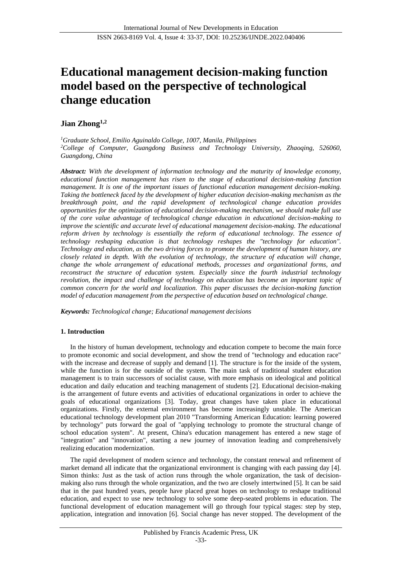# **Educational management decision-making function model based on the perspective of technological change education**

# **Jian Zhong1,2**

*<sup>1</sup>Graduate School, Emilio Aguinaldo College, 1007, Manila, Philippines <sup>2</sup>College of Computer, Guangdong Business and Technology University, Zhaoqing, 526060, Guangdong, China*

*Abstract: With the development of information technology and the maturity of knowledge economy, educational function management has risen to the stage of educational decision-making function management. It is one of the important issues of functional education management decision-making. Taking the bottleneck faced by the development of higher education decision-making mechanism as the breakthrough point, and the rapid development of technological change education provides opportunities for the optimization of educational decision-making mechanism, we should make full use of the core value advantage of technological change education in educational decision-making to improve the scientific and accurate level of educational management decision-making. The educational reform driven by technology is essentially the reform of educational technology. The essence of technology reshaping education is that technology reshapes the "technology for education". Technology and education, as the two driving forces to promote the development of human history, are closely related in depth. With the evolution of technology, the structure of education will change, change the whole arrangement of educational methods, processes and organizational forms, and reconstruct the structure of education system. Especially since the fourth industrial technology revolution, the impact and challenge of technology on education has become an important topic of common concern for the world and localization. This paper discusses the decision-making function model of education management from the perspective of education based on technological change.*

*Keywords: Technological change; Educational management decisions*

# **1. Introduction**

In the history of human development, technology and education compete to become the main force to promote economic and social development, and show the trend of "technology and education race" with the increase and decrease of supply and demand [1]. The structure is for the inside of the system, while the function is for the outside of the system. The main task of traditional student education management is to train successors of socialist cause, with more emphasis on ideological and political education and daily education and teaching management of students [2]. Educational decision-making is the arrangement of future events and activities of educational organizations in order to achieve the goals of educational organizations [3]. Today, great changes have taken place in educational organizations. Firstly, the external environment has become increasingly unstable. The American educational technology development plan 2010 "Transforming American Education: learning powered by technology" puts forward the goal of "applying technology to promote the structural change of school education system". At present, China's education management has entered a new stage of "integration" and "innovation", starting a new journey of innovation leading and comprehensively realizing education modernization.

The rapid development of modern science and technology, the constant renewal and refinement of market demand all indicate that the organizational environment is changing with each passing day [4]. Simon thinks: Just as the task of action runs through the whole organization, the task of decisionmaking also runs through the whole organization, and the two are closely intertwined [5]. It can be said that in the past hundred years, people have placed great hopes on technology to reshape traditional education, and expect to use new technology to solve some deep-seated problems in education. The functional development of education management will go through four typical stages: step by step, application, integration and innovation [6]. Social change has never stopped. The development of the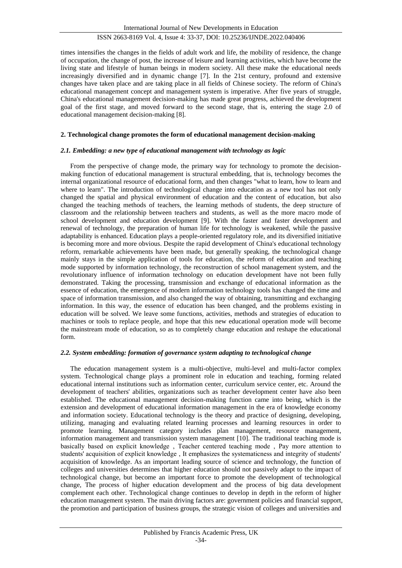times intensifies the changes in the fields of adult work and life, the mobility of residence, the change of occupation, the change of post, the increase of leisure and learning activities, which have become the living state and lifestyle of human beings in modern society. All these make the educational needs increasingly diversified and in dynamic change [7]. In the 21st century, profound and extensive changes have taken place and are taking place in all fields of Chinese society. The reform of China's educational management concept and management system is imperative. After five years of struggle, China's educational management decision-making has made great progress, achieved the development goal of the first stage, and moved forward to the second stage, that is, entering the stage 2.0 of educational management decision-making [8].

#### **2. Technological change promotes the form of educational management decision-making**

#### *2.1. Embedding: a new type of educational management with technology as logic*

From the perspective of change mode, the primary way for technology to promote the decisionmaking function of educational management is structural embedding, that is, technology becomes the internal organizational resource of educational form, and then changes "what to learn, how to learn and where to learn". The introduction of technological change into education as a new tool has not only changed the spatial and physical environment of education and the content of education, but also changed the teaching methods of teachers, the learning methods of students, the deep structure of classroom and the relationship between teachers and students, as well as the more macro mode of school development and education development [9]. With the faster and faster development and renewal of technology, the preparation of human life for technology is weakened, while the passive adaptability is enhanced. Education plays a people-oriented regulatory role, and its diversified initiative is becoming more and more obvious. Despite the rapid development of China's educational technology reform, remarkable achievements have been made, but generally speaking, the technological change mainly stays in the simple application of tools for education, the reform of education and teaching mode supported by information technology, the reconstruction of school management system, and the revolutionary influence of information technology on education development have not been fully demonstrated. Taking the processing, transmission and exchange of educational information as the essence of education, the emergence of modern information technology tools has changed the time and space of information transmission, and also changed the way of obtaining, transmitting and exchanging information. In this way, the essence of education has been changed, and the problems existing in education will be solved. We leave some functions, activities, methods and strategies of education to machines or tools to replace people, and hope that this new educational operation mode will become the mainstream mode of education, so as to completely change education and reshape the educational form.

#### *2.2. System embedding: formation of governance system adapting to technological change*

The education management system is a multi-objective, multi-level and multi-factor complex system. Technological change plays a prominent role in education and teaching, forming related educational internal institutions such as information center, curriculum service center, etc. Around the development of teachers' abilities, organizations such as teacher development center have also been established. The educational management decision-making function came into being, which is the extension and development of educational information management in the era of knowledge economy and information society. Educational technology is the theory and practice of designing, developing, utilizing, managing and evaluating related learning processes and learning resources in order to promote learning. Management category includes plan management, resource management, information management and transmission system management [10]. The traditional teaching mode is basically based on explicit knowledge, Teacher centered teaching mode, Pay more attention to students' acquisition of explicit knowledge, It emphasizes the systematicness and integrity of students' acquisition of knowledge. As an important leading source of science and technology, the function of colleges and universities determines that higher education should not passively adapt to the impact of technological change, but become an important force to promote the development of technological change, The process of higher education development and the process of big data development complement each other. Technological change continues to develop in depth in the reform of higher education management system. The main driving factors are: government policies and financial support, the promotion and participation of business groups, the strategic vision of colleges and universities and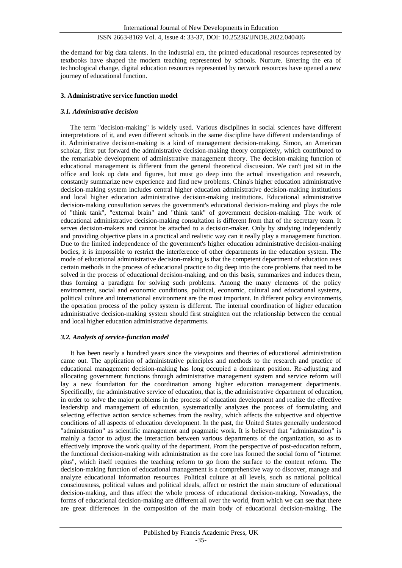the demand for big data talents. In the industrial era, the printed educational resources represented by textbooks have shaped the modern teaching represented by schools. Nurture. Entering the era of technological change, digital education resources represented by network resources have opened a new journey of educational function.

#### **3. Administrative service function model**

#### *3.1. Administrative decision*

The term "decision-making" is widely used. Various disciplines in social sciences have different interpretations of it, and even different schools in the same discipline have different understandings of it. Administrative decision-making is a kind of management decision-making. Simon, an American scholar, first put forward the administrative decision-making theory completely, which contributed to the remarkable development of administrative management theory. The decision-making function of educational management is different from the general theoretical discussion. We can't just sit in the office and look up data and figures, but must go deep into the actual investigation and research, constantly summarize new experience and find new problems. China's higher education administrative decision-making system includes central higher education administrative decision-making institutions and local higher education administrative decision-making institutions. Educational administrative decision-making consultation serves the government's educational decision-making and plays the role of "think tank", "external brain" and "think tank" of government decision-making. The work of educational administrative decision-making consultation is different from that of the secretary team. It serves decision-makers and cannot be attached to a decision-maker. Only by studying independently and providing objective plans in a practical and realistic way can it really play a management function. Due to the limited independence of the government's higher education administrative decision-making bodies, it is impossible to restrict the interference of other departments in the education system. The mode of educational administrative decision-making is that the competent department of education uses certain methods in the process of educational practice to dig deep into the core problems that need to be solved in the process of educational decision-making, and on this basis, summarizes and induces them, thus forming a paradigm for solving such problems. Among the many elements of the policy environment, social and economic conditions, political, economic, cultural and educational systems, political culture and international environment are the most important. In different policy environments, the operation process of the policy system is different. The internal coordination of higher education administrative decision-making system should first straighten out the relationship between the central and local higher education administrative departments.

#### *3.2. Analysis of service-function model*

It has been nearly a hundred years since the viewpoints and theories of educational administration came out. The application of administrative principles and methods to the research and practice of educational management decision-making has long occupied a dominant position. Re-adjusting and allocating government functions through administrative management system and service reform will lay a new foundation for the coordination among higher education management departments. Specifically, the administrative service of education, that is, the administrative department of education, in order to solve the major problems in the process of education development and realize the effective leadership and management of education, systematically analyzes the process of formulating and selecting effective action service schemes from the reality, which affects the subjective and objective conditions of all aspects of education development. In the past, the United States generally understood "administration" as scientific management and pragmatic work. It is believed that "administration" is mainly a factor to adjust the interaction between various departments of the organization, so as to effectively improve the work quality of the department. From the perspective of post-education reform, the functional decision-making with administration as the core has formed the social form of "internet plus", which itself requires the teaching reform to go from the surface to the content reform. The decision-making function of educational management is a comprehensive way to discover, manage and analyze educational information resources. Political culture at all levels, such as national political consciousness, political values and political ideals, affect or restrict the main structure of educational decision-making, and thus affect the whole process of educational decision-making. Nowadays, the forms of educational decision-making are different all over the world, from which we can see that there are great differences in the composition of the main body of educational decision-making. The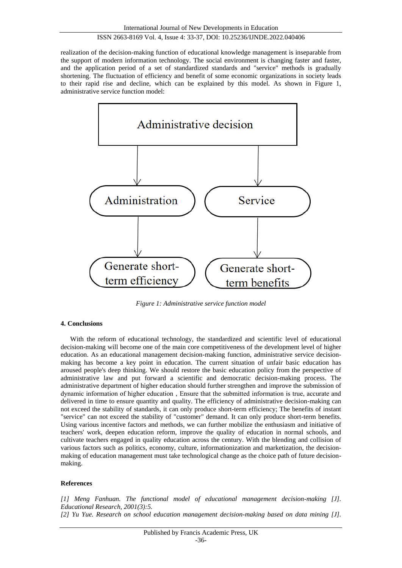realization of the decision-making function of educational knowledge management is inseparable from the support of modern information technology. The social environment is changing faster and faster, and the application period of a set of standardized standards and "service" methods is gradually shortening. The fluctuation of efficiency and benefit of some economic organizations in society leads to their rapid rise and decline, which can be explained by this model. As shown in Figure 1, administrative service function model:



*Figure 1: Administrative service function model*

#### **4. Conclusions**

With the reform of educational technology, the standardized and scientific level of educational decision-making will become one of the main core competitiveness of the development level of higher education. As an educational management decision-making function, administrative service decisionmaking has become a key point in education. The current situation of unfair basic education has aroused people's deep thinking. We should restore the basic education policy from the perspective of administrative law and put forward a scientific and democratic decision-making process. The administrative department of higher education should further strengthen and improve the submission of dynamic information of higher education, Ensure that the submitted information is true, accurate and delivered in time to ensure quantity and quality. The efficiency of administrative decision-making can not exceed the stability of standards, it can only produce short-term efficiency; The benefits of instant "service" can not exceed the stability of "customer" demand. It can only produce short-term benefits. Using various incentive factors and methods, we can further mobilize the enthusiasm and initiative of teachers' work, deepen education reform, improve the quality of education in normal schools, and cultivate teachers engaged in quality education across the century. With the blending and collision of various factors such as politics, economy, culture, informationization and marketization, the decisionmaking of education management must take technological change as the choice path of future decisionmaking.

#### **References**

*[1] Meng Fanhuan. The functional model of educational management decision-making [J]. Educational Research, 2001(3):5. [2] Yu Yue. Research on school education management decision-making based on data mining [J].*